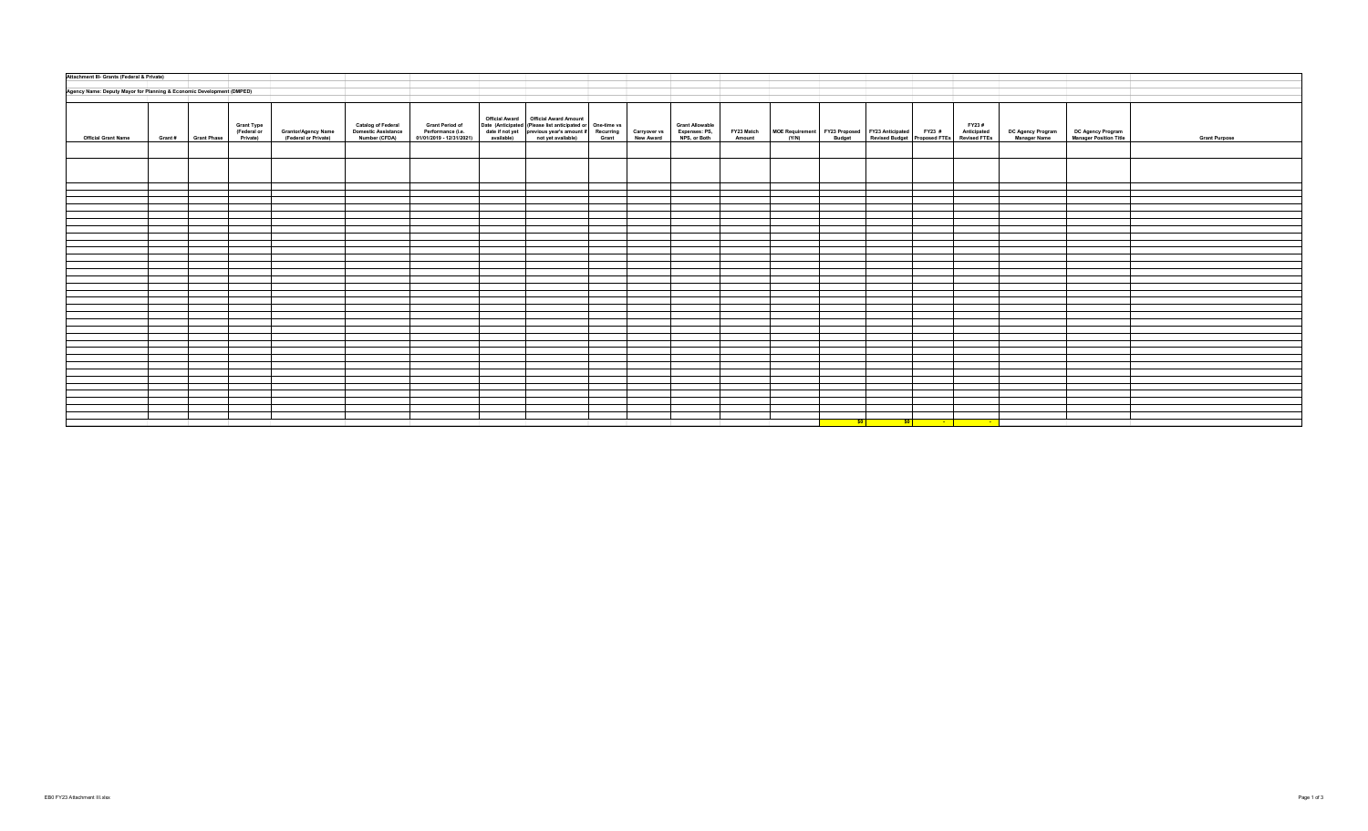| Attachment III- Grants (Federal & Private)                            |                     |                                              |                                             |                                                                     |                                                                                                                                                                                                                                      |  |  |                      |                                                                                                                       |  |       |                                                                                                                                                                                                     |                      |
|-----------------------------------------------------------------------|---------------------|----------------------------------------------|---------------------------------------------|---------------------------------------------------------------------|--------------------------------------------------------------------------------------------------------------------------------------------------------------------------------------------------------------------------------------|--|--|----------------------|-----------------------------------------------------------------------------------------------------------------------|--|-------|-----------------------------------------------------------------------------------------------------------------------------------------------------------------------------------------------------|----------------------|
| Agency Name: Deputy Mayor for Planning & Economic Development (DMPED) |                     |                                              |                                             |                                                                     |                                                                                                                                                                                                                                      |  |  |                      |                                                                                                                       |  |       |                                                                                                                                                                                                     |                      |
|                                                                       |                     |                                              |                                             |                                                                     |                                                                                                                                                                                                                                      |  |  |                      |                                                                                                                       |  |       |                                                                                                                                                                                                     |                      |
| <b>Official Grant Name</b>                                            | Grant # Grant Phase | <b>Grant Type</b><br>(Federal or<br>Private) | Grantor/Agency Name<br>(Federal or Private) | <b>Catalog of Federal<br/>Domestic Assistance<br/>Number (CFDA)</b> | Communical Award Communical Award Amount<br>Crant Perford of Date (Anticipated (Plase list anticipated or One-time vs<br>Performance (i.e. date if not yet previous year's amount if Recurring Carryover vs Expenses: PS,<br>1910/12 |  |  | FY23 Match<br>Amount |                                                                                                                       |  | FY23# | MOE Requirement FY23 Proposed FY23 Anticipated FY23 # Anticipated DC Agency Program DC Agency Program<br>(Y/N) Budget Revised Budget Proposed FTEs Revised FTEs Manager Name Manager Position Title | <b>Grant Purpose</b> |
|                                                                       |                     |                                              |                                             |                                                                     |                                                                                                                                                                                                                                      |  |  |                      |                                                                                                                       |  |       |                                                                                                                                                                                                     |                      |
|                                                                       |                     |                                              |                                             |                                                                     |                                                                                                                                                                                                                                      |  |  |                      |                                                                                                                       |  |       |                                                                                                                                                                                                     |                      |
|                                                                       |                     |                                              |                                             |                                                                     |                                                                                                                                                                                                                                      |  |  |                      |                                                                                                                       |  |       |                                                                                                                                                                                                     |                      |
|                                                                       |                     |                                              |                                             |                                                                     |                                                                                                                                                                                                                                      |  |  |                      |                                                                                                                       |  |       |                                                                                                                                                                                                     |                      |
|                                                                       |                     |                                              |                                             |                                                                     |                                                                                                                                                                                                                                      |  |  |                      |                                                                                                                       |  |       |                                                                                                                                                                                                     |                      |
|                                                                       |                     |                                              |                                             |                                                                     |                                                                                                                                                                                                                                      |  |  |                      |                                                                                                                       |  |       |                                                                                                                                                                                                     |                      |
|                                                                       |                     |                                              |                                             |                                                                     |                                                                                                                                                                                                                                      |  |  |                      |                                                                                                                       |  |       |                                                                                                                                                                                                     |                      |
|                                                                       |                     |                                              |                                             |                                                                     |                                                                                                                                                                                                                                      |  |  |                      |                                                                                                                       |  |       |                                                                                                                                                                                                     |                      |
|                                                                       |                     |                                              |                                             |                                                                     |                                                                                                                                                                                                                                      |  |  |                      |                                                                                                                       |  |       |                                                                                                                                                                                                     |                      |
|                                                                       |                     |                                              |                                             |                                                                     |                                                                                                                                                                                                                                      |  |  |                      |                                                                                                                       |  |       |                                                                                                                                                                                                     |                      |
|                                                                       |                     |                                              |                                             |                                                                     |                                                                                                                                                                                                                                      |  |  |                      |                                                                                                                       |  |       |                                                                                                                                                                                                     |                      |
|                                                                       |                     |                                              |                                             |                                                                     |                                                                                                                                                                                                                                      |  |  |                      |                                                                                                                       |  |       |                                                                                                                                                                                                     |                      |
|                                                                       |                     |                                              |                                             |                                                                     |                                                                                                                                                                                                                                      |  |  |                      |                                                                                                                       |  |       |                                                                                                                                                                                                     |                      |
|                                                                       |                     |                                              |                                             |                                                                     |                                                                                                                                                                                                                                      |  |  |                      |                                                                                                                       |  |       |                                                                                                                                                                                                     |                      |
|                                                                       |                     |                                              |                                             |                                                                     |                                                                                                                                                                                                                                      |  |  |                      |                                                                                                                       |  |       |                                                                                                                                                                                                     |                      |
|                                                                       |                     |                                              |                                             |                                                                     |                                                                                                                                                                                                                                      |  |  |                      |                                                                                                                       |  |       |                                                                                                                                                                                                     |                      |
|                                                                       |                     |                                              |                                             |                                                                     |                                                                                                                                                                                                                                      |  |  |                      |                                                                                                                       |  |       |                                                                                                                                                                                                     |                      |
|                                                                       |                     |                                              |                                             |                                                                     |                                                                                                                                                                                                                                      |  |  |                      |                                                                                                                       |  |       |                                                                                                                                                                                                     |                      |
|                                                                       |                     |                                              |                                             |                                                                     |                                                                                                                                                                                                                                      |  |  |                      |                                                                                                                       |  |       |                                                                                                                                                                                                     |                      |
|                                                                       |                     |                                              |                                             |                                                                     |                                                                                                                                                                                                                                      |  |  |                      |                                                                                                                       |  |       |                                                                                                                                                                                                     |                      |
|                                                                       |                     |                                              |                                             |                                                                     |                                                                                                                                                                                                                                      |  |  |                      |                                                                                                                       |  |       |                                                                                                                                                                                                     |                      |
|                                                                       |                     |                                              |                                             |                                                                     |                                                                                                                                                                                                                                      |  |  |                      |                                                                                                                       |  |       |                                                                                                                                                                                                     |                      |
|                                                                       |                     |                                              |                                             |                                                                     |                                                                                                                                                                                                                                      |  |  |                      |                                                                                                                       |  |       |                                                                                                                                                                                                     |                      |
|                                                                       |                     |                                              |                                             |                                                                     |                                                                                                                                                                                                                                      |  |  |                      |                                                                                                                       |  |       |                                                                                                                                                                                                     |                      |
|                                                                       |                     |                                              |                                             |                                                                     |                                                                                                                                                                                                                                      |  |  |                      |                                                                                                                       |  |       |                                                                                                                                                                                                     |                      |
|                                                                       |                     |                                              |                                             |                                                                     |                                                                                                                                                                                                                                      |  |  |                      |                                                                                                                       |  |       |                                                                                                                                                                                                     |                      |
|                                                                       |                     |                                              |                                             |                                                                     |                                                                                                                                                                                                                                      |  |  |                      |                                                                                                                       |  |       |                                                                                                                                                                                                     |                      |
|                                                                       |                     |                                              |                                             |                                                                     |                                                                                                                                                                                                                                      |  |  |                      |                                                                                                                       |  |       |                                                                                                                                                                                                     |                      |
|                                                                       |                     |                                              |                                             |                                                                     |                                                                                                                                                                                                                                      |  |  |                      |                                                                                                                       |  |       |                                                                                                                                                                                                     |                      |
|                                                                       |                     |                                              |                                             |                                                                     |                                                                                                                                                                                                                                      |  |  |                      | <u> and the set of the set of the set of the set of the set of the set of the set of the set of the set of the se</u> |  |       |                                                                                                                                                                                                     |                      |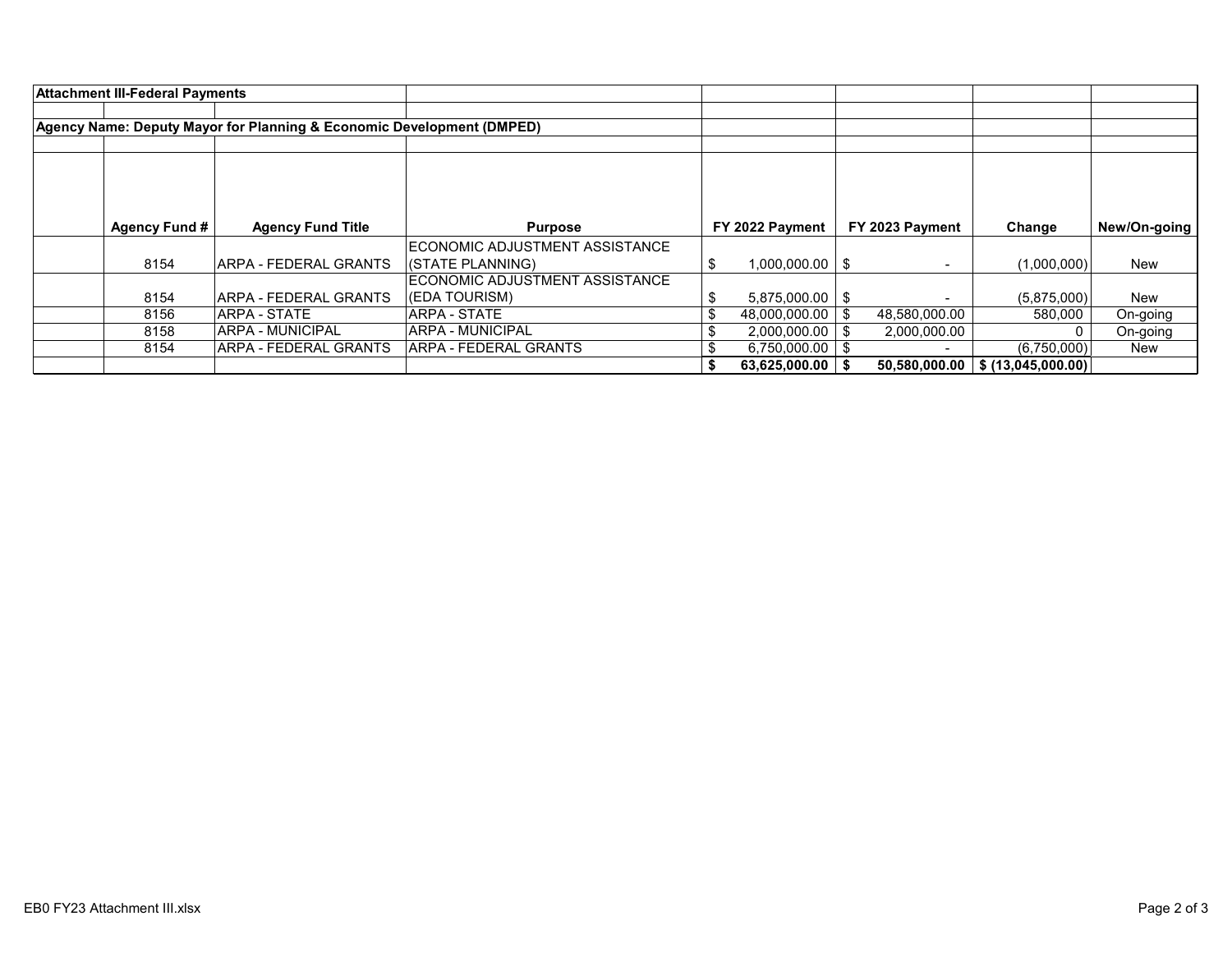| <b>Attachment III-Federal Payments</b> |                                                                       |                                |                     |                     |             |              |
|----------------------------------------|-----------------------------------------------------------------------|--------------------------------|---------------------|---------------------|-------------|--------------|
|                                        |                                                                       |                                |                     |                     |             |              |
|                                        | Agency Name: Deputy Mayor for Planning & Economic Development (DMPED) |                                |                     |                     |             |              |
|                                        |                                                                       |                                |                     |                     |             |              |
|                                        |                                                                       |                                |                     |                     |             |              |
|                                        |                                                                       |                                |                     |                     |             |              |
|                                        |                                                                       |                                |                     |                     |             |              |
|                                        |                                                                       |                                |                     |                     |             |              |
| Agency Fund #                          | <b>Agency Fund Title</b>                                              | <b>Purpose</b>                 | FY 2022 Payment     | FY 2023 Payment     | Change      | New/On-going |
|                                        |                                                                       | ECONOMIC ADJUSTMENT ASSISTANCE |                     |                     |             |              |
|                                        |                                                                       |                                |                     |                     |             |              |
| 8154                                   | <b>ARPA - FEDERAL GRANTS</b>                                          | (STATE PLANNING)               | \$<br>1,000,000.00  |                     | (1,000,000) | New          |
|                                        |                                                                       | ECONOMIC ADJUSTMENT ASSISTANCE |                     |                     |             |              |
| 8154                                   | <b>ARPA - FEDERAL GRANTS</b>                                          | (EDA TOURISM)                  | $5,875,000.00$ \ \$ |                     | (5,875,000) | New          |
| 8156                                   | <b>ARPA - STATE</b>                                                   | ARPA - STATE                   | 48,000,000.00       | \$<br>48,580,000.00 | 580,000     | On-going     |
| 8158                                   | ARPA - MUNICIPAL                                                      | <b>ARPA - MUNICIPAL</b>        | 2,000,000.00        | \$<br>2,000,000.00  |             | On-going     |
| 8154                                   | ARPA - FEDERAL GRANTS                                                 | ARPA - FEDERAL GRANTS          | 6,750,000.00        |                     | (6,750,000) | New          |